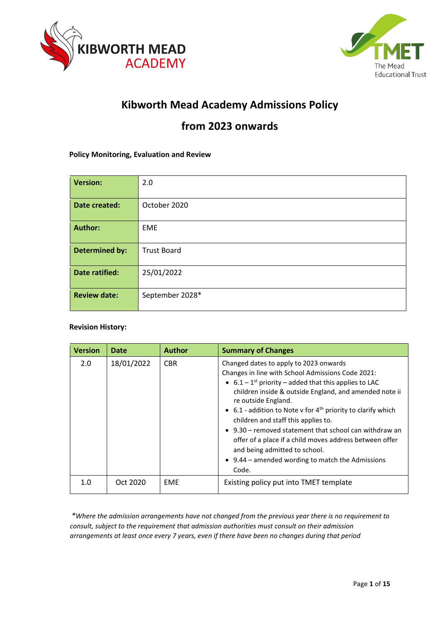



# **Kibworth Mead Academy Admissions Policy**

# **from 2023 onwards**

## **Policy Monitoring, Evaluation and Review**

| <b>Version:</b>       | 2.0                |
|-----------------------|--------------------|
| Date created:         | October 2020       |
| <b>Author:</b>        | <b>EME</b>         |
| <b>Determined by:</b> | <b>Trust Board</b> |
| Date ratified:        | 25/01/2022         |
| <b>Review date:</b>   | September 2028*    |

## **Revision History:**

| <b>Version</b> | <b>Date</b> | <b>Author</b> | <b>Summary of Changes</b>                                                                                                                                                                                                                                                                                                                                                                                                                                                                                                                                                                       |
|----------------|-------------|---------------|-------------------------------------------------------------------------------------------------------------------------------------------------------------------------------------------------------------------------------------------------------------------------------------------------------------------------------------------------------------------------------------------------------------------------------------------------------------------------------------------------------------------------------------------------------------------------------------------------|
| 2.0            | 18/01/2022  | <b>CBR</b>    | Changed dates to apply to 2023 onwards<br>Changes in line with School Admissions Code 2021:<br>• $6.1 - 1$ <sup>st</sup> priority – added that this applies to LAC<br>children inside & outside England, and amended note ii<br>re outside England.<br>• 6.1 - addition to Note v for $4th$ priority to clarify which<br>children and staff this applies to.<br>$\bullet$ 9.30 – removed statement that school can withdraw an<br>offer of a place if a child moves address between offer<br>and being admitted to school.<br>$\bullet$ 9.44 – amended wording to match the Admissions<br>Code. |
| 1.0            | Oct 2020    | <b>EME</b>    | Existing policy put into TMET template                                                                                                                                                                                                                                                                                                                                                                                                                                                                                                                                                          |

*\*Where the admission arrangements have not changed from the previous year there is no requirement to consult, subject to the requirement that admission authorities must consult on their admission arrangements at least once every 7 years, even if there have been no changes during that period*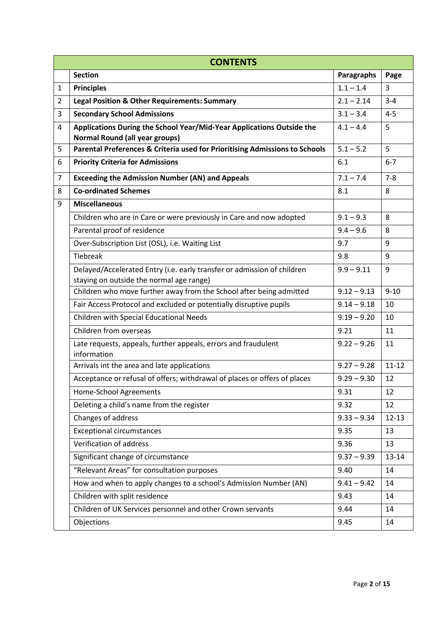| <b>CONTENTS</b> |                                                                               |                   |           |  |  |  |
|-----------------|-------------------------------------------------------------------------------|-------------------|-----------|--|--|--|
|                 | <b>Section</b>                                                                | <b>Paragraphs</b> | Page      |  |  |  |
| $\mathbf{1}$    | <b>Principles</b>                                                             | $1.1 - 1.4$       | 3         |  |  |  |
| 2               | <b>Legal Position &amp; Other Requirements: Summary</b>                       | $2.1 - 2.14$      | $3 - 4$   |  |  |  |
| 3               | <b>Secondary School Admissions</b>                                            | $3.1 - 3.4$       | $4 - 5$   |  |  |  |
| 4               | Applications During the School Year/Mid-Year Applications Outside the         | $4.1 - 4.4$       | 5         |  |  |  |
|                 | <b>Normal Round (all year groups)</b>                                         |                   |           |  |  |  |
| 5               | Parental Preferences & Criteria used for Prioritising Admissions to Schools   | $5.1 - 5.2$       | 5         |  |  |  |
| 6               | <b>Priority Criteria for Admissions</b>                                       | 6.1               | $6 - 7$   |  |  |  |
| 7               | <b>Exceeding the Admission Number (AN) and Appeals</b>                        | $7.1 - 7.4$       | $7 - 8$   |  |  |  |
| 8               | <b>Co-ordinated Schemes</b>                                                   | 8.1               | 8         |  |  |  |
| 9               | <b>Miscellaneous</b>                                                          |                   |           |  |  |  |
|                 | Children who are in Care or were previously in Care and now adopted           | $9.1 - 9.3$       | 8         |  |  |  |
|                 | Parental proof of residence                                                   | $9.4 - 9.6$       | 8         |  |  |  |
|                 | Over-Subscription List (OSL), i.e. Waiting List                               | 9.7               | 9         |  |  |  |
|                 | <b>Tiebreak</b>                                                               | 9.8               | 9         |  |  |  |
|                 | Delayed/Accelerated Entry (i.e. early transfer or admission of children       | $9.9 - 9.11$      | 9         |  |  |  |
|                 | staying on outside the normal age range)                                      |                   |           |  |  |  |
|                 | Children who move further away from the School after being admitted           | $9.12 - 9.13$     | $9 - 10$  |  |  |  |
|                 | Fair Access Protocol and excluded or potentially disruptive pupils            | $9.14 - 9.18$     | 10        |  |  |  |
|                 | Children with Special Educational Needs                                       | $9.19 - 9.20$     | 10        |  |  |  |
|                 | Children from overseas                                                        | 9.21              | 11        |  |  |  |
|                 | Late requests, appeals, further appeals, errors and fraudulent<br>information | $9.22 - 9.26$     | 11        |  |  |  |
|                 | Arrivals int the area and late applications                                   | $9.27 - 9.28$     | $11 - 12$ |  |  |  |
|                 | Acceptance or refusal of offers; withdrawal of places or offers of places     | $9.29 - 9.30$     | 12        |  |  |  |
|                 | Home-School Agreements                                                        | 9.31              | 12        |  |  |  |
|                 | Deleting a child's name from the register                                     | 9.32              | 12        |  |  |  |
|                 | Changes of address                                                            | $9.33 - 9.34$     | $12 - 13$ |  |  |  |
|                 | <b>Exceptional circumstances</b>                                              | 9.35              | 13        |  |  |  |
|                 | Verification of address                                                       | 9.36              | 13        |  |  |  |
|                 | Significant change of circumstance                                            | $9.37 - 9.39$     | 13-14     |  |  |  |
|                 | "Relevant Areas" for consultation purposes                                    | 9.40              | 14        |  |  |  |
|                 | How and when to apply changes to a school's Admission Number (AN)             | $9.41 - 9.42$     | 14        |  |  |  |
|                 | Children with split residence                                                 | 9.43              | 14        |  |  |  |
|                 | Children of UK Services personnel and other Crown servants                    | 9.44              | 14        |  |  |  |
|                 | Objections                                                                    | 9.45              | 14        |  |  |  |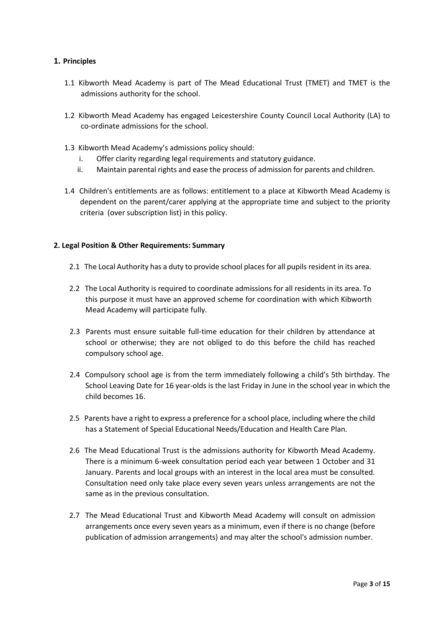# **1. Principles**

- 1.1 Kibworth Mead Academy is part of The Mead Educational Trust (TMET) and TMET is the admissions authority for the school.
- 1.2 Kibworth Mead Academy has engaged Leicestershire County Council Local Authority (LA) to co-ordinate admissions for the school.
- 1.3 Kibworth Mead Academy's admissions policy should:
	- i. Offer clarity regarding legal requirements and statutory guidance.
	- ii. Maintain parental rights and ease the process of admission for parents and children.
- 1.4 Children's entitlements are as follows: entitlement to a place at Kibworth Mead Academy is dependent on the parent/carer applying at the appropriate time and subject to the priority criteria (over subscription list) in this policy.

## **2. Legal Position & Other Requirements: Summary**

- 2.1 The Local Authority has a duty to provide school places for all pupils resident in its area.
- 2.2 The Local Authority is required to coordinate admissions for all residents in its area. To this purpose it must have an approved scheme for coordination with which Kibworth Mead Academy will participate fully.
- 2.3 Parents must ensure suitable full-time education for their children by attendance at school or otherwise; they are not obliged to do this before the child has reached compulsory school age.
- 2.4 Compulsory school age is from the term immediately following a child's 5th birthday. The School Leaving Date for 16 year-olds is the last Friday in June in the school year in which the child becomes 16.
- 2.5 Parents have a right to express a preference for a school place, including where the child has a Statement of Special Educational Needs/Education and Health Care Plan.
- 2.6 The Mead Educational Trust is the admissions authority for Kibworth Mead Academy. There is a minimum 6-week consultation period each year between 1 October and 31 January. Parents and local groups with an interest in the local area must be consulted. Consultation need only take place every seven years unless arrangements are not the same as in the previous consultation.
- 2.7 The Mead Educational Trust and Kibworth Mead Academy will consult on admission arrangements once every seven years as a minimum, even if there is no change (before publication of admission arrangements) and may alter the school's admission number.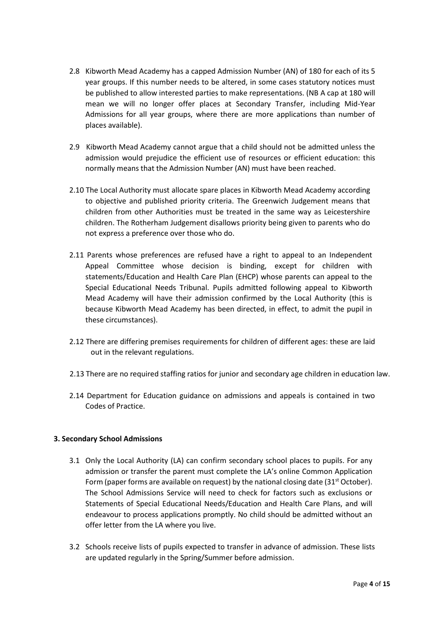- 2.8 Kibworth Mead Academy has a capped Admission Number (AN) of 180 for each of its 5 year groups. If this number needs to be altered, in some cases statutory notices must be published to allow interested parties to make representations. (NB A cap at 180 will mean we will no longer offer places at Secondary Transfer, including Mid-Year Admissions for all year groups, where there are more applications than number of places available).
- 2.9 Kibworth Mead Academy cannot argue that a child should not be admitted unless the admission would prejudice the efficient use of resources or efficient education: this normally means that the Admission Number (AN) must have been reached.
- 2.10 The Local Authority must allocate spare places in Kibworth Mead Academy according to objective and published priority criteria. The Greenwich Judgement means that children from other Authorities must be treated in the same way as Leicestershire children. The Rotherham Judgement disallows priority being given to parents who do not express a preference over those who do.
- 2.11 Parents whose preferences are refused have a right to appeal to an Independent Appeal Committee whose decision is binding, except for children with statements/Education and Health Care Plan (EHCP) whose parents can appeal to the Special Educational Needs Tribunal. Pupils admitted following appeal to Kibworth Mead Academy will have their admission confirmed by the Local Authority (this is because Kibworth Mead Academy has been directed, in effect, to admit the pupil in these circumstances).
- 2.12 There are differing premises requirements for children of different ages: these are laid out in the relevant regulations.
- 2.13 There are no required staffing ratios for junior and secondary age children in education law.
- 2.14 Department for Education guidance on admissions and appeals is contained in two Codes of Practice.

## **3. Secondary School Admissions**

- 3.1 Only the Local Authority (LA) can confirm secondary school places to pupils. For any admission or transfer the parent must complete the LA's online Common Application Form (paper forms are available on request) by the national closing date  $(31<sup>st</sup> October)$ . The School Admissions Service will need to check for factors such as exclusions or Statements of Special Educational Needs/Education and Health Care Plans, and will endeavour to process applications promptly. No child should be admitted without an offer letter from the LA where you live.
- 3.2 Schools receive lists of pupils expected to transfer in advance of admission. These lists are updated regularly in the Spring/Summer before admission.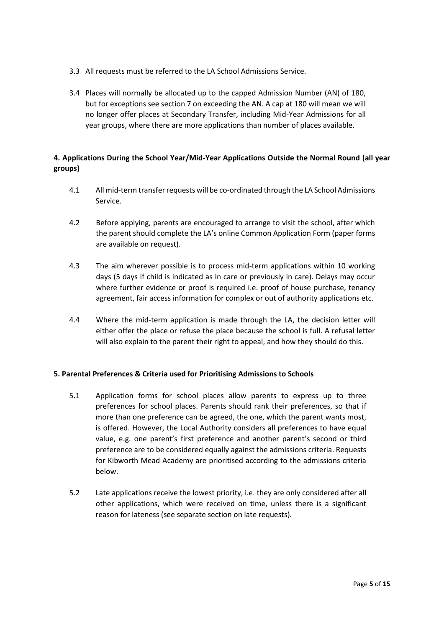- 3.3 All requests must be referred to the LA School Admissions Service.
- 3.4 Places will normally be allocated up to the capped Admission Number (AN) of 180, but for exceptions see section 7 on exceeding the AN. A cap at 180 will mean we will no longer offer places at Secondary Transfer, including Mid-Year Admissions for all year groups, where there are more applications than number of places available.

# **4. Applications During the School Year/Mid-Year Applications Outside the Normal Round (all year groups)**

- 4.1 All mid-term transfer requests will be co-ordinated through the LA School Admissions Service.
- 4.2 Before applying, parents are encouraged to arrange to visit the school, after which the parent should complete the LA's online Common Application Form (paper forms are available on request).
- 4.3 The aim wherever possible is to process mid-term applications within 10 working days (5 days if child is indicated as in care or previously in care). Delays may occur where further evidence or proof is required i.e. proof of house purchase, tenancy agreement, fair access information for complex or out of authority applications etc.
- 4.4 Where the mid-term application is made through the LA, the decision letter will either offer the place or refuse the place because the school is full. A refusal letter will also explain to the parent their right to appeal, and how they should do this.

# **5. Parental Preferences & Criteria used for Prioritising Admissions to Schools**

- 5.1 Application forms for school places allow parents to express up to three preferences for school places. Parents should rank their preferences, so that if more than one preference can be agreed, the one, which the parent wants most, is offered. However, the Local Authority considers all preferences to have equal value, e.g. one parent's first preference and another parent's second or third preference are to be considered equally against the admissions criteria. Requests for Kibworth Mead Academy are prioritised according to the admissions criteria below.
- 5.2 Late applications receive the lowest priority, i.e. they are only considered after all other applications, which were received on time, unless there is a significant reason for lateness (see separate section on late requests).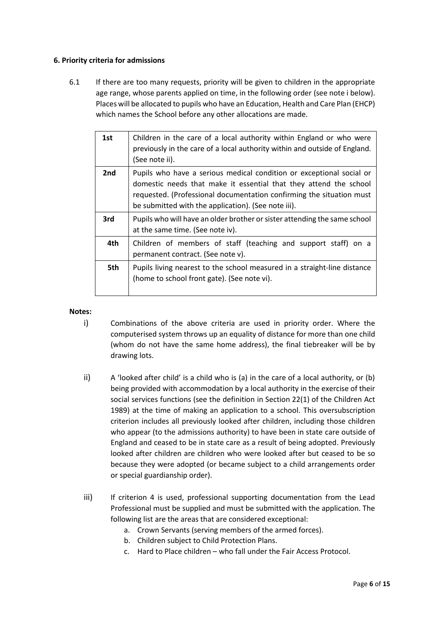# **6. Priority criteria for admissions**

6.1 If there are too many requests, priority will be given to children in the appropriate age range, whose parents applied on time, in the following order (see note i below). Places will be allocated to pupils who have an Education, Health and Care Plan (EHCP) which names the School before any other allocations are made.

| 1st | Children in the care of a local authority within England or who were<br>previously in the care of a local authority within and outside of England.<br>(See note ii).                                                                                                     |
|-----|--------------------------------------------------------------------------------------------------------------------------------------------------------------------------------------------------------------------------------------------------------------------------|
| 2nd | Pupils who have a serious medical condition or exceptional social or<br>domestic needs that make it essential that they attend the school<br>requested. (Professional documentation confirming the situation must<br>be submitted with the application). (See note iii). |
| 3rd | Pupils who will have an older brother or sister attending the same school<br>at the same time. (See note iv).                                                                                                                                                            |
| 4th | Children of members of staff (teaching and support staff) on a<br>permanent contract. (See note v).                                                                                                                                                                      |
| 5th | Pupils living nearest to the school measured in a straight-line distance<br>(home to school front gate). (See note vi).                                                                                                                                                  |

#### **Notes:**

- i) Combinations of the above criteria are used in priority order. Where the computerised system throws up an equality of distance for more than one child (whom do not have the same home address), the final tiebreaker will be by drawing lots.
- ii) A 'looked after child' is a child who is (a) in the care of a local authority, or (b) being provided with accommodation by a local authority in the exercise of their social services functions (see the definition in Section 22(1) of the Children Act 1989) at the time of making an application to a school. This oversubscription criterion includes all previously looked after children, including those children who appear (to the admissions authority) to have been in state care outside of England and ceased to be in state care as a result of being adopted. Previously looked after children are children who were looked after but ceased to be so because they were adopted (or became subject to a child arrangements order or special guardianship order).
- iii) If criterion 4 is used, professional supporting documentation from the Lead Professional must be supplied and must be submitted with the application. The following list are the areas that are considered exceptional:
	- a. Crown Servants (serving members of the armed forces).
	- b. Children subject to Child Protection Plans.
	- c. Hard to Place children who fall under the Fair Access Protocol.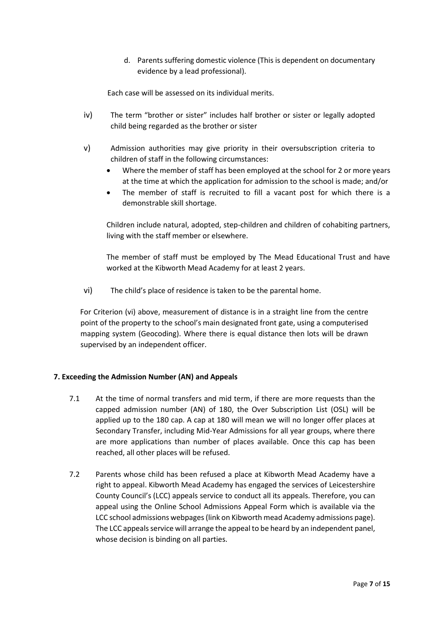d. Parents suffering domestic violence (This is dependent on documentary evidence by a lead professional).

Each case will be assessed on its individual merits.

- iv) The term "brother or sister" includes half brother or sister or legally adopted child being regarded as the brother or sister
- v) Admission authorities may give priority in their oversubscription criteria to children of staff in the following circumstances:
	- Where the member of staff has been employed at the school for 2 or more years at the time at which the application for admission to the school is made; and/or
	- The member of staff is recruited to fill a vacant post for which there is a demonstrable skill shortage.

Children include natural, adopted, step-children and children of cohabiting partners, living with the staff member or elsewhere.

The member of staff must be employed by The Mead Educational Trust and have worked at the Kibworth Mead Academy for at least 2 years.

vi) The child's place of residence is taken to be the parental home.

For Criterion (vi) above, measurement of distance is in a straight line from the centre point of the property to the school's main designated front gate, using a computerised mapping system (Geocoding). Where there is equal distance then lots will be drawn supervised by an independent officer.

## **7. Exceeding the Admission Number (AN) and Appeals**

- 7.1 At the time of normal transfers and mid term, if there are more requests than the capped admission number (AN) of 180, the Over Subscription List (OSL) will be applied up to the 180 cap. A cap at 180 will mean we will no longer offer places at Secondary Transfer, including Mid-Year Admissions for all year groups, where there are more applications than number of places available. Once this cap has been reached, all other places will be refused.
- 7.2 Parents whose child has been refused a place at Kibworth Mead Academy have a right to appeal. Kibworth Mead Academy has engaged the services of Leicestershire County Council's (LCC) appeals service to conduct all its appeals. Therefore, you can appeal using the Online School Admissions Appeal Form which is available via the LCC school admissions webpages (link on Kibworth mead Academy admissions page). The LCC appeals service will arrange the appeal to be heard by an independent panel, whose decision is binding on all parties.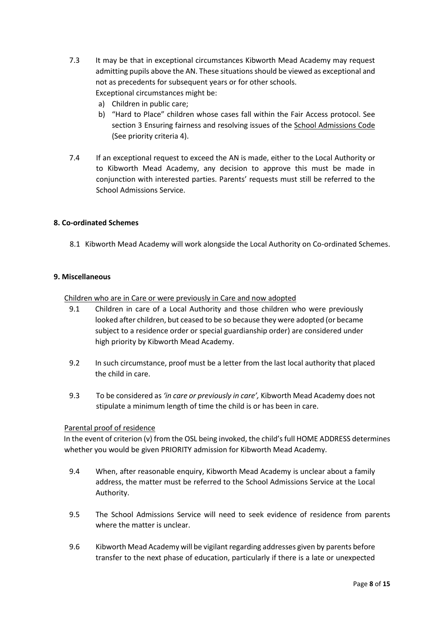- 7.3 It may be that in exceptional circumstances Kibworth Mead Academy may request admitting pupils above the AN. These situations should be viewed as exceptional and not as precedents for subsequent years or for other schools. Exceptional circumstances might be:
	- a) Children in public care;
	- b) "Hard to Place" children whose cases fall within the Fair Access protocol. See section 3 Ensuring fairness and resolving issues of the School Admissions Code (See priority criteria 4).
- 7.4 If an exceptional request to exceed the AN is made, either to the Local Authority or to Kibworth Mead Academy, any decision to approve this must be made in conjunction with interested parties. Parents' requests must still be referred to the School Admissions Service.

# **8. Co-ordinated Schemes**

8.1 Kibworth Mead Academy will work alongside the Local Authority on Co-ordinated Schemes.

## **9. Miscellaneous**

Children who are in Care or were previously in Care and now adopted

- 9.1 Children in care of a Local Authority and those children who were previously looked after children, but ceased to be so because they were adopted (or became subject to a residence order or special guardianship order) are considered under high priority by Kibworth Mead Academy.
- 9.2 In such circumstance, proof must be a letter from the last local authority that placed the child in care.
- 9.3 To be considered as *'in care or previously in care',* Kibworth Mead Academy does not stipulate a minimum length of time the child is or has been in care.

## Parental proof of residence

In the event of criterion (v) from the OSL being invoked, the child's full HOME ADDRESS determines whether you would be given PRIORITY admission for Kibworth Mead Academy.

- 9.4 When, after reasonable enquiry, Kibworth Mead Academy is unclear about a family address, the matter must be referred to the School Admissions Service at the Local Authority.
- 9.5 The School Admissions Service will need to seek evidence of residence from parents where the matter is unclear.
- 9.6 Kibworth Mead Academy will be vigilant regarding addresses given by parents before transfer to the next phase of education, particularly if there is a late or unexpected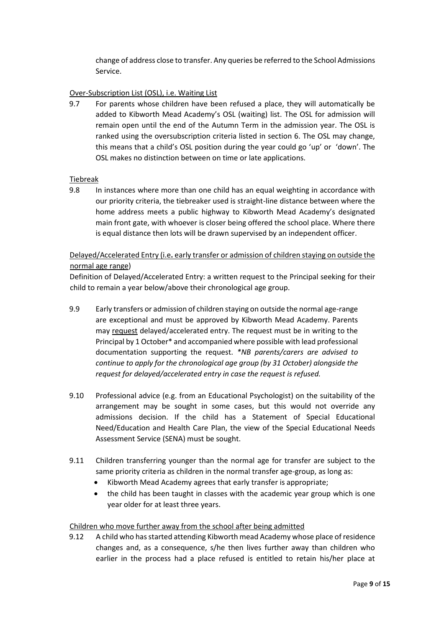change of address close to transfer. Any queries be referred to the School Admissions Service.

# Over-Subscription List (OSL), i.e. Waiting List

9.7 For parents whose children have been refused a place, they will automatically be added to Kibworth Mead Academy's OSL (waiting) list. The OSL for admission will remain open until the end of the Autumn Term in the admission year. The OSL is ranked using the oversubscription criteria listed in section 6. The OSL may change, this means that a child's OSL position during the year could go 'up' or 'down'. The OSL makes no distinction between on time or late applications.

## Tiebreak

9.8 In instances where more than one child has an equal weighting in accordance with our priority criteria, the tiebreaker used is straight-line distance between where the home address meets a public highway to Kibworth Mead Academy's designated main front gate, with whoever is closer being offered the school place. Where there is equal distance then lots will be drawn supervised by an independent officer.

# Delayed/Accelerated Entry (i.e**.** early transfer or admission of children staying on outside the normal age range)

Definition of Delayed/Accelerated Entry: a written request to the Principal seeking for their child to remain a year below/above their chronological age group.

- 9.9 Early transfers or admission of children staying on outside the normal age-range are exceptional and must be approved by Kibworth Mead Academy. Parents may request delayed/accelerated entry. The request must be in writing to the Principal by 1 October\* and accompanied where possible with lead professional documentation supporting the request. *\*NB parents/carers are advised to continue to apply for the chronological age group (by 31 October) alongside the request for delayed/accelerated entry in case the request is refused.*
- 9.10 Professional advice (e.g. from an Educational Psychologist) on the suitability of the arrangement may be sought in some cases, but this would not override any admissions decision. If the child has a Statement of Special Educational Need/Education and Health Care Plan, the view of the Special Educational Needs Assessment Service (SENA) must be sought.
- 9.11 Children transferring younger than the normal age for transfer are subject to the same priority criteria as children in the normal transfer age-group, as long as:
	- Kibworth Mead Academy agrees that early transfer is appropriate;
	- the child has been taught in classes with the academic year group which is one year older for at least three years.

## Children who move further away from the school after being admitted

9.12 A child who has started attending Kibworth mead Academy whose place of residence changes and, as a consequence, s/he then lives further away than children who earlier in the process had a place refused is entitled to retain his/her place at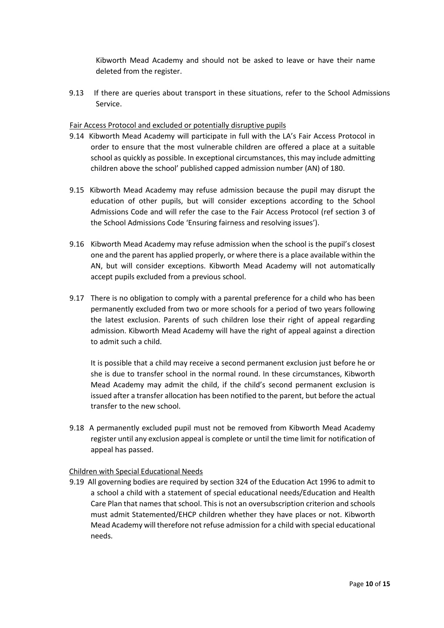Kibworth Mead Academy and should not be asked to leave or have their name deleted from the register.

9.13 If there are queries about transport in these situations, refer to the School Admissions Service.

### Fair Access Protocol and excluded or potentially disruptive pupils

- 9.14 Kibworth Mead Academy will participate in full with the LA's Fair Access Protocol in order to ensure that the most vulnerable children are offered a place at a suitable school as quickly as possible. In exceptional circumstances, this may include admitting children above the school' published capped admission number (AN) of 180.
- 9.15 Kibworth Mead Academy may refuse admission because the pupil may disrupt the education of other pupils, but will consider exceptions according to the School Admissions Code and will refer the case to the Fair Access Protocol (ref section 3 of the School Admissions Code 'Ensuring fairness and resolving issues').
- 9.16 Kibworth Mead Academy may refuse admission when the school is the pupil's closest one and the parent has applied properly, or where there is a place available within the AN, but will consider exceptions. Kibworth Mead Academy will not automatically accept pupils excluded from a previous school.
- 9.17 There is no obligation to comply with a parental preference for a child who has been permanently excluded from two or more schools for a period of two years following the latest exclusion. Parents of such children lose their right of appeal regarding admission. Kibworth Mead Academy will have the right of appeal against a direction to admit such a child.

It is possible that a child may receive a second permanent exclusion just before he or she is due to transfer school in the normal round. In these circumstances, Kibworth Mead Academy may admit the child, if the child's second permanent exclusion is issued after a transfer allocation has been notified to the parent, but before the actual transfer to the new school.

9.18 A permanently excluded pupil must not be removed from Kibworth Mead Academy register until any exclusion appeal is complete or until the time limit for notification of appeal has passed.

#### Children with Special Educational Needs

9.19 All governing bodies are required by section 324 of the Education Act 1996 to admit to a school a child with a statement of special educational needs/Education and Health Care Plan that names that school. This is not an oversubscription criterion and schools must admit Statemented/EHCP children whether they have places or not. Kibworth Mead Academy will therefore not refuse admission for a child with special educational needs.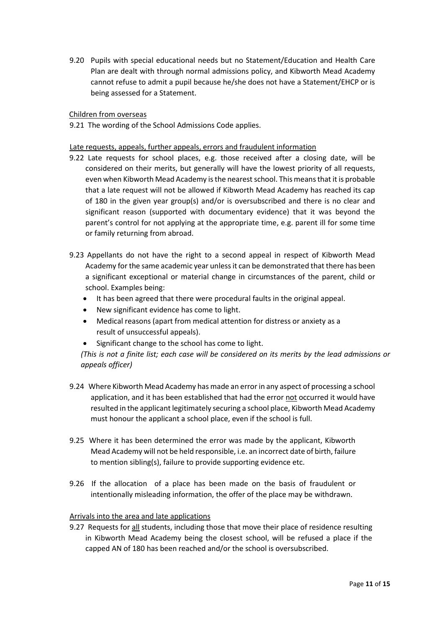9.20 Pupils with special educational needs but no Statement/Education and Health Care Plan are dealt with through normal admissions policy, and Kibworth Mead Academy cannot refuse to admit a pupil because he/she does not have a Statement/EHCP or is being assessed for a Statement.

## Children from overseas

9.21 The wording of the School Admissions Code applies.

## Late requests, appeals, further appeals, errors and fraudulent information

- 9.22 Late requests for school places, e.g. those received after a closing date, will be considered on their merits, but generally will have the lowest priority of all requests, even when Kibworth Mead Academy is the nearest school. This means that it is probable that a late request will not be allowed if Kibworth Mead Academy has reached its cap of 180 in the given year group(s) and/or is oversubscribed and there is no clear and significant reason (supported with documentary evidence) that it was beyond the parent's control for not applying at the appropriate time, e.g. parent ill for some time or family returning from abroad.
- 9.23 Appellants do not have the right to a second appeal in respect of Kibworth Mead Academy for the same academic year unless it can be demonstrated that there has been a significant exceptional or material change in circumstances of the parent, child or school. Examples being:
	- It has been agreed that there were procedural faults in the original appeal.
	- New significant evidence has come to light.
	- Medical reasons (apart from medical attention for distress or anxiety as a result of unsuccessful appeals).
	- Significant change to the school has come to light.

(This is not a finite list; each case will be considered on its merits by the lead admissions or *appeals officer)* 

- 9.24 Where Kibworth Mead Academy has made an error in any aspect of processing a school application, and it has been established that had the error not occurred it would have resulted in the applicant legitimately securing a school place, Kibworth Mead Academy must honour the applicant a school place, even if the school is full.
- 9.25 Where it has been determined the error was made by the applicant, Kibworth Mead Academy will not be held responsible, i.e. an incorrect date of birth, failure to mention sibling(s), failure to provide supporting evidence etc.
- 9.26 If the allocation of a place has been made on the basis of fraudulent or intentionally misleading information, the offer of the place may be withdrawn.

## Arrivals into the area and late applications

9.27 Requests for all students, including those that move their place of residence resulting in Kibworth Mead Academy being the closest school, will be refused a place if the capped AN of 180 has been reached and/or the school is oversubscribed.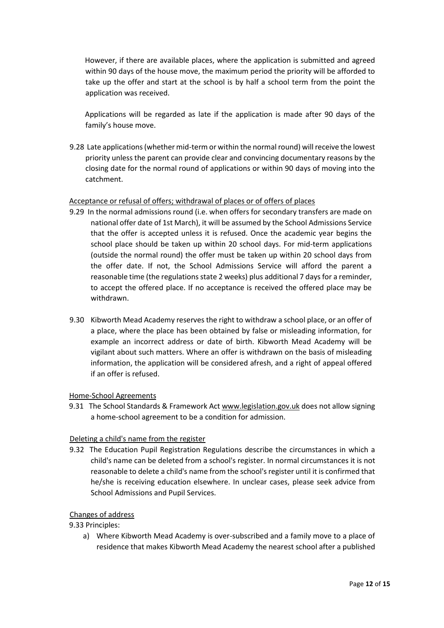However, if there are available places, where the application is submitted and agreed within 90 days of the house move, the maximum period the priority will be afforded to take up the offer and start at the school is by half a school term from the point the application was received.

Applications will be regarded as late if the application is made after 90 days of the family's house move.

9.28 Late applications (whether mid-term or within the normal round) will receive the lowest priority unless the parent can provide clear and convincing documentary reasons by the closing date for the normal round of applications or within 90 days of moving into the catchment.

## Acceptance or refusal of offers; withdrawal of places or of offers of places

- 9.29 In the normal admissions round (i.e. when offers for secondary transfers are made on national offer date of 1st March), it will be assumed by the School Admissions Service that the offer is accepted unless it is refused. Once the academic year begins the school place should be taken up within 20 school days. For mid-term applications (outside the normal round) the offer must be taken up within 20 school days from the offer date. If not, the School Admissions Service will afford the parent a reasonable time (the regulations state 2 weeks) plus additional 7 days for a reminder, to accept the offered place. If no acceptance is received the offered place may be withdrawn.
- 9.30 Kibworth Mead Academy reserves the right to withdraw a school place, or an offer of a place, where the place has been obtained by false or misleading information, for example an incorrect address or date of birth. Kibworth Mead Academy will be vigilant about such matters. Where an offer is withdrawn on the basis of misleading information, the application will be considered afresh, and a right of appeal offered if an offer is refused.

## Home-School Agreements

9.31 The School Standards & Framework Act www.legislation.gov.uk does not allow signing a home-school agreement to be a condition for admission.

## Deleting a child's name from the register

9.32 The Education Pupil Registration Regulations describe the circumstances in which a child's name can be deleted from a school's register. In normal circumstances it is not reasonable to delete a child's name from the school's register until it is confirmed that he/she is receiving education elsewhere. In unclear cases, please seek advice from School Admissions and Pupil Services.

## Changes of address

9.33 Principles:

a) Where Kibworth Mead Academy is over-subscribed and a family move to a place of residence that makes Kibworth Mead Academy the nearest school after a published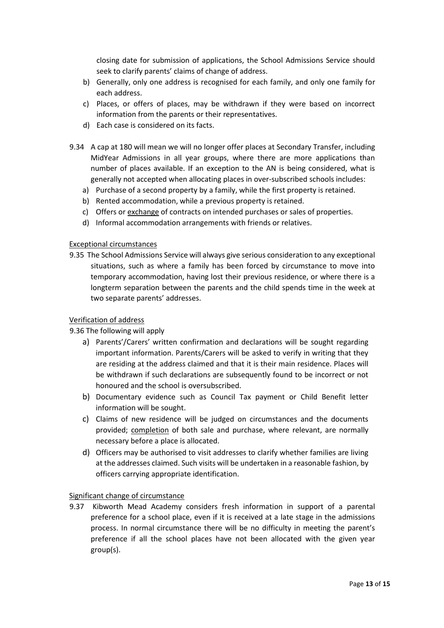closing date for submission of applications, the School Admissions Service should seek to clarify parents' claims of change of address.

- b) Generally, only one address is recognised for each family, and only one family for each address.
- c) Places, or offers of places, may be withdrawn if they were based on incorrect information from the parents or their representatives.
- d) Each case is considered on its facts.
- 9.34 A cap at 180 will mean we will no longer offer places at Secondary Transfer, including MidYear Admissions in all year groups, where there are more applications than number of places available. If an exception to the AN is being considered, what is generally not accepted when allocating places in over-subscribed schools includes:
	- a) Purchase of a second property by a family, while the first property is retained.
	- b) Rented accommodation, while a previous property is retained.
	- c) Offers or exchange of contracts on intended purchases or sales of properties.
	- d) Informal accommodation arrangements with friends or relatives.

## Exceptional circumstances

9.35 The School Admissions Service will always give serious consideration to any exceptional situations, such as where a family has been forced by circumstance to move into temporary accommodation, having lost their previous residence, or where there is a longterm separation between the parents and the child spends time in the week at two separate parents' addresses.

## Verification of address

## 9.36 The following will apply

- a) Parents'/Carers' written confirmation and declarations will be sought regarding important information. Parents/Carers will be asked to verify in writing that they are residing at the address claimed and that it is their main residence. Places will be withdrawn if such declarations are subsequently found to be incorrect or not honoured and the school is oversubscribed.
- b) Documentary evidence such as Council Tax payment or Child Benefit letter information will be sought.
- c) Claims of new residence will be judged on circumstances and the documents provided; completion of both sale and purchase, where relevant, are normally necessary before a place is allocated.
- d) Officers may be authorised to visit addresses to clarify whether families are living at the addresses claimed. Such visits will be undertaken in a reasonable fashion, by officers carrying appropriate identification.

## Significant change of circumstance

9.37 Kibworth Mead Academy considers fresh information in support of a parental preference for a school place, even if it is received at a late stage in the admissions process. In normal circumstance there will be no difficulty in meeting the parent's preference if all the school places have not been allocated with the given year group(s).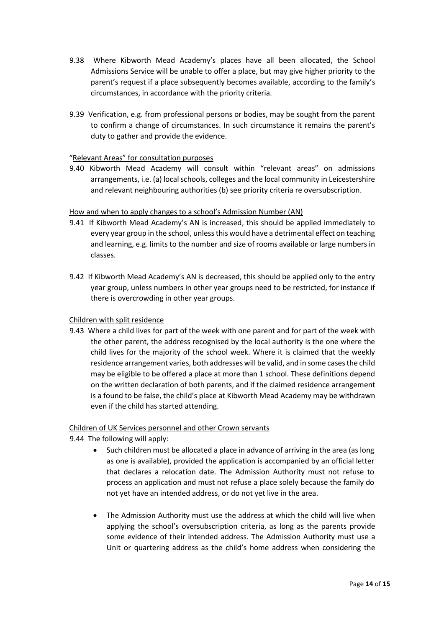- 9.38 Where Kibworth Mead Academy's places have all been allocated, the School Admissions Service will be unable to offer a place, but may give higher priority to the parent's request if a place subsequently becomes available, according to the family's circumstances, in accordance with the priority criteria.
- 9.39 Verification, e.g. from professional persons or bodies, may be sought from the parent to confirm a change of circumstances. In such circumstance it remains the parent's duty to gather and provide the evidence.

# "Relevant Areas" for consultation purposes

9.40 Kibworth Mead Academy will consult within "relevant areas" on admissions arrangements, i.e. (a) local schools, colleges and the local community in Leicestershire and relevant neighbouring authorities (b) see priority criteria re oversubscription.

# How and when to apply changes to a school's Admission Number (AN)

- 9.41 If Kibworth Mead Academy's AN is increased, this should be applied immediately to every year group in the school, unless this would have a detrimental effect on teaching and learning, e.g. limits to the number and size of rooms available or large numbers in classes.
- 9.42 If Kibworth Mead Academy's AN is decreased, this should be applied only to the entry year group, unless numbers in other year groups need to be restricted, for instance if there is overcrowding in other year groups.

## Children with split residence

9.43 Where a child lives for part of the week with one parent and for part of the week with the other parent, the address recognised by the local authority is the one where the child lives for the majority of the school week. Where it is claimed that the weekly residence arrangement varies, both addresses will be valid, and in some cases the child may be eligible to be offered a place at more than 1 school. These definitions depend on the written declaration of both parents, and if the claimed residence arrangement is a found to be false, the child's place at Kibworth Mead Academy may be withdrawn even if the child has started attending.

## Children of UK Services personnel and other Crown servants

- 9.44 The following will apply:
	- Such children must be allocated a place in advance of arriving in the area (as long as one is available), provided the application is accompanied by an official letter that declares a relocation date. The Admission Authority must not refuse to process an application and must not refuse a place solely because the family do not yet have an intended address, or do not yet live in the area.
	- The Admission Authority must use the address at which the child will live when applying the school's oversubscription criteria, as long as the parents provide some evidence of their intended address. The Admission Authority must use a Unit or quartering address as the child's home address when considering the